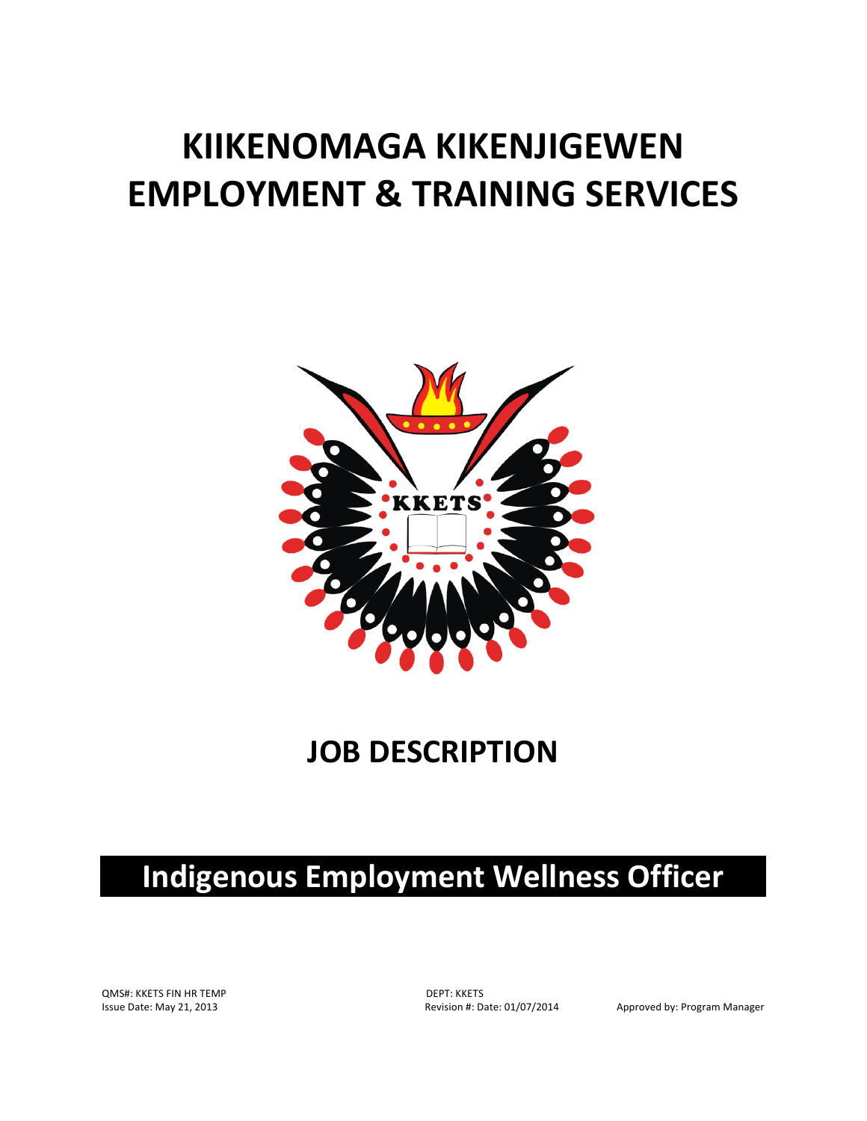# **KIIKENOMAGA KIKENJIGEWEN EMPLOYMENT & TRAINING SERVICES**



### **JOB DESCRIPTION**

## **Indigenous Employment Wellness Officer**

QMS#: KKETS FIN HR TEMP DEPT: KKETS

Issue Date: May 21, 2013 **Revision #: Date: 01/07/2014** Approved by: Program Manager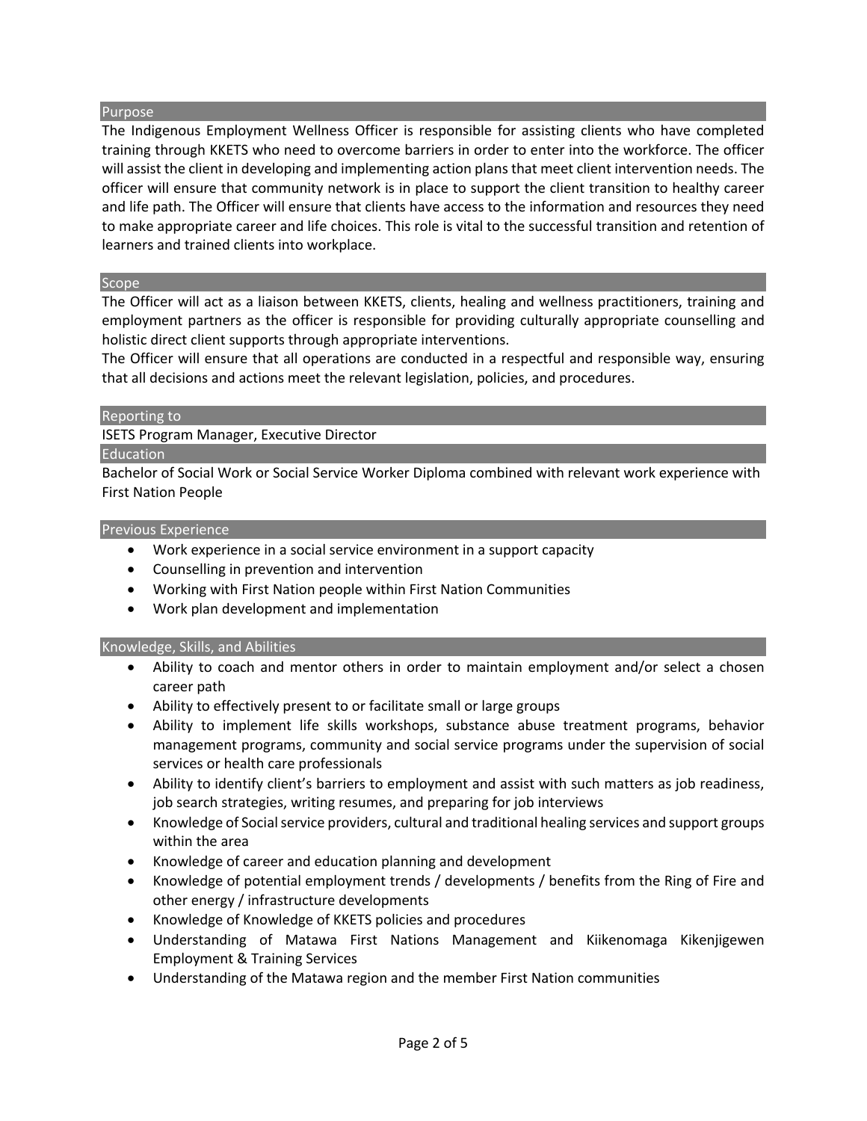#### Purpose

The Indigenous Employment Wellness Officer is responsible for assisting clients who have completed training through KKETS who need to overcome barriers in order to enter into the workforce. The officer will assist the client in developing and implementing action plans that meet client intervention needs. The officer will ensure that community network is in place to support the client transition to healthy career and life path. The Officer will ensure that clients have access to the information and resources they need to make appropriate career and life choices. This role is vital to the successful transition and retention of learners and trained clients into workplace.

#### **Scope**

The Officer will act as a liaison between KKETS, clients, healing and wellness practitioners, training and employment partners as the officer is responsible for providing culturally appropriate counselling and holistic direct client supports through appropriate interventions.

The Officer will ensure that all operations are conducted in a respectful and responsible way, ensuring that all decisions and actions meet the relevant legislation, policies, and procedures.

#### Reporting to

ISETS Program Manager, Executive Director

#### Education

Bachelor of Social Work or Social Service Worker Diploma combined with relevant work experience with First Nation People

#### Previous Experience

- Work experience in a social service environment in a support capacity
- Counselling in prevention and intervention
- Working with First Nation people within First Nation Communities
- Work plan development and implementation

#### Knowledge, Skills, and Abilities

- Ability to coach and mentor others in order to maintain employment and/or select a chosen career path
- Ability to effectively present to or facilitate small or large groups
- Ability to implement life skills workshops, substance abuse treatment programs, behavior management programs, community and social service programs under the supervision of social services or health care professionals
- Ability to identify client's barriers to employment and assist with such matters as job readiness, job search strategies, writing resumes, and preparing for job interviews
- Knowledge of Social service providers, cultural and traditional healing services and support groups within the area
- Knowledge of career and education planning and development
- Knowledge of potential employment trends / developments / benefits from the Ring of Fire and other energy / infrastructure developments
- Knowledge of Knowledge of KKETS policies and procedures
- Understanding of Matawa First Nations Management and Kiikenomaga Kikenjigewen Employment & Training Services
- Understanding of the Matawa region and the member First Nation communities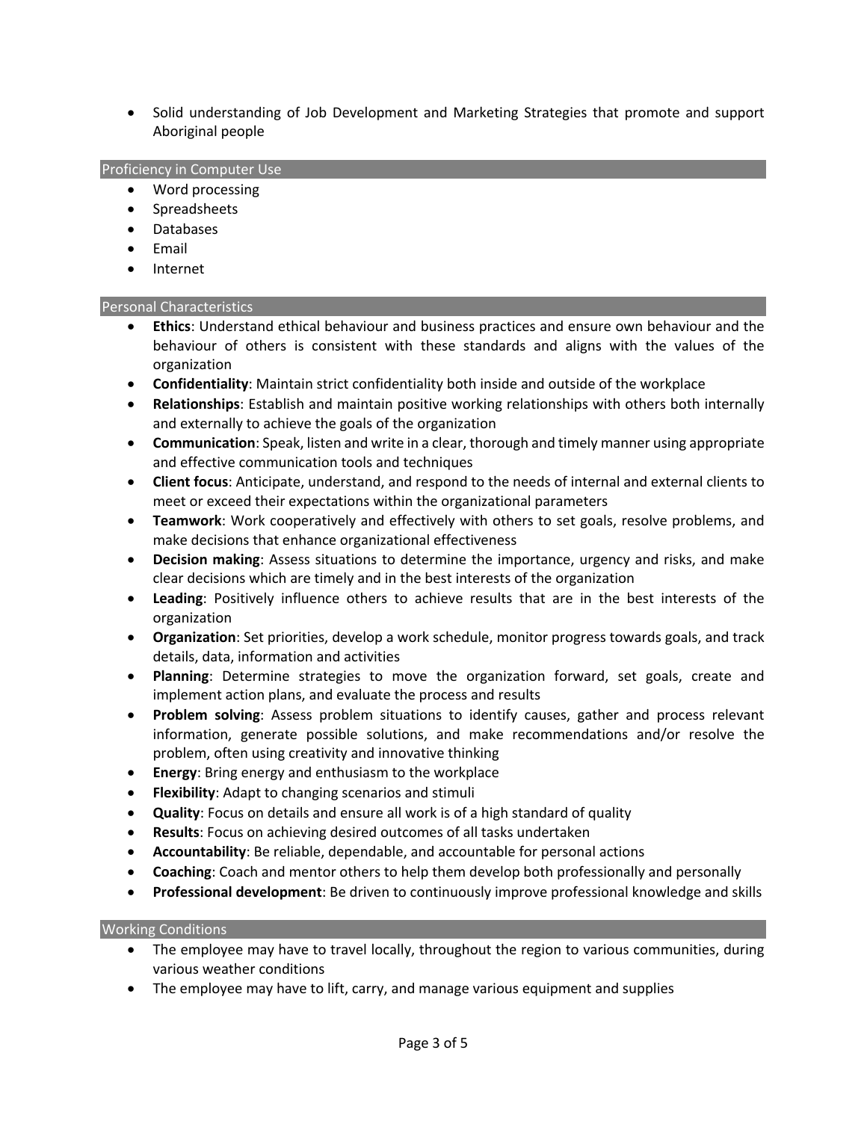• Solid understanding of Job Development and Marketing Strategies that promote and support Aboriginal people

#### Proficiency in Computer Use

- Word processing
- Spreadsheets
- Databases
- Email
- Internet

#### Personal Characteristics

- **Ethics**: Understand ethical behaviour and business practices and ensure own behaviour and the behaviour of others is consistent with these standards and aligns with the values of the organization
- **Confidentiality**: Maintain strict confidentiality both inside and outside of the workplace
- **Relationships**: Establish and maintain positive working relationships with others both internally and externally to achieve the goals of the organization
- **Communication**: Speak, listen and write in a clear, thorough and timely manner using appropriate and effective communication tools and techniques
- **Client focus**: Anticipate, understand, and respond to the needs of internal and external clients to meet or exceed their expectations within the organizational parameters
- **Teamwork**: Work cooperatively and effectively with others to set goals, resolve problems, and make decisions that enhance organizational effectiveness
- **Decision making**: Assess situations to determine the importance, urgency and risks, and make clear decisions which are timely and in the best interests of the organization
- **Leading**: Positively influence others to achieve results that are in the best interests of the organization
- **Organization**: Set priorities, develop a work schedule, monitor progress towards goals, and track details, data, information and activities
- **Planning**: Determine strategies to move the organization forward, set goals, create and implement action plans, and evaluate the process and results
- **Problem solving**: Assess problem situations to identify causes, gather and process relevant information, generate possible solutions, and make recommendations and/or resolve the problem, often using creativity and innovative thinking
- **Energy**: Bring energy and enthusiasm to the workplace
- **Flexibility**: Adapt to changing scenarios and stimuli
- **Quality**: Focus on details and ensure all work is of a high standard of quality
- **Results**: Focus on achieving desired outcomes of all tasks undertaken
- **Accountability**: Be reliable, dependable, and accountable for personal actions
- **Coaching**: Coach and mentor others to help them develop both professionally and personally
- **Professional development**: Be driven to continuously improve professional knowledge and skills

#### Working Conditions

- The employee may have to travel locally, throughout the region to various communities, during various weather conditions
- The employee may have to lift, carry, and manage various equipment and supplies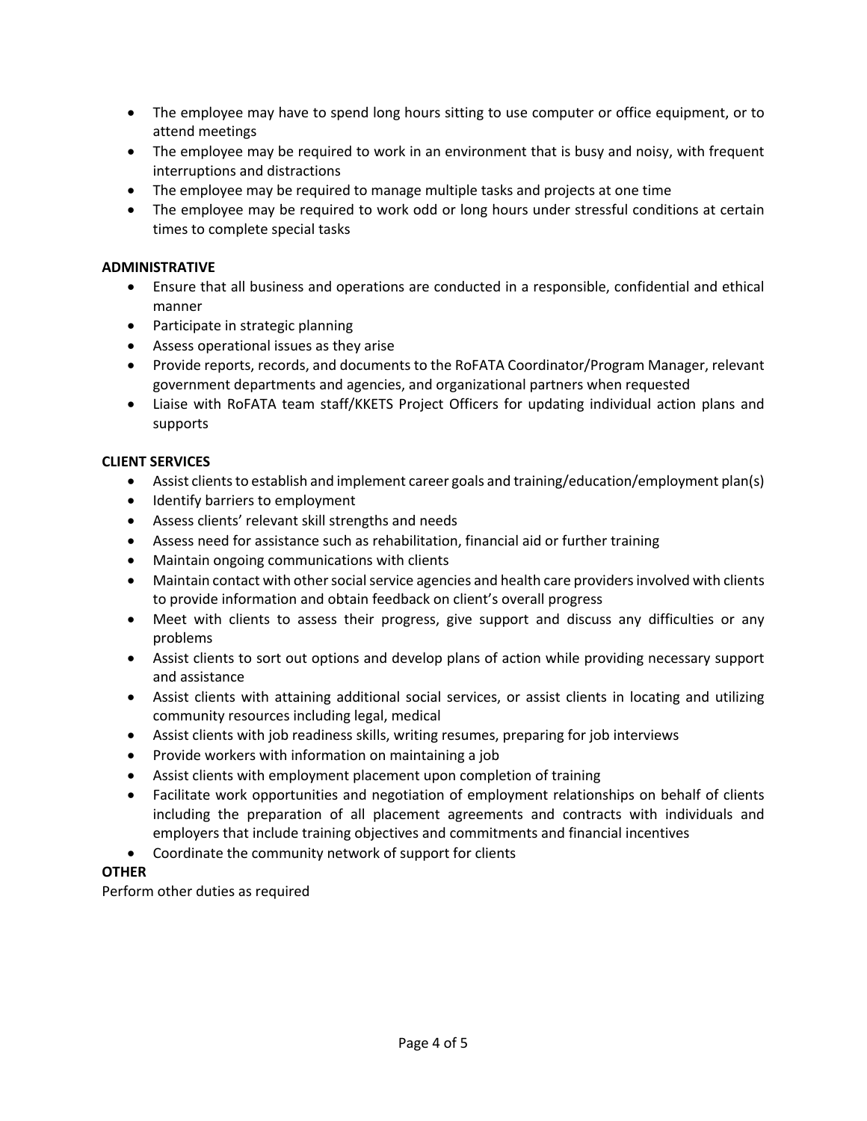- The employee may have to spend long hours sitting to use computer or office equipment, or to attend meetings
- The employee may be required to work in an environment that is busy and noisy, with frequent interruptions and distractions
- The employee may be required to manage multiple tasks and projects at one time
- The employee may be required to work odd or long hours under stressful conditions at certain times to complete special tasks

#### **ADMINISTRATIVE**

- Ensure that all business and operations are conducted in a responsible, confidential and ethical manner
- Participate in strategic planning
- Assess operational issues as they arise
- Provide reports, records, and documents to the RoFATA Coordinator/Program Manager, relevant government departments and agencies, and organizational partners when requested
- Liaise with RoFATA team staff/KKETS Project Officers for updating individual action plans and supports

#### **CLIENT SERVICES**

- Assist clients to establish and implement career goals and training/education/employment plan(s)
- Identify barriers to employment
- Assess clients' relevant skill strengths and needs
- Assess need for assistance such as rehabilitation, financial aid or further training
- Maintain ongoing communications with clients
- Maintain contact with other social service agencies and health care providers involved with clients to provide information and obtain feedback on client's overall progress
- Meet with clients to assess their progress, give support and discuss any difficulties or any problems
- Assist clients to sort out options and develop plans of action while providing necessary support and assistance
- Assist clients with attaining additional social services, or assist clients in locating and utilizing community resources including legal, medical
- Assist clients with job readiness skills, writing resumes, preparing for job interviews
- Provide workers with information on maintaining a job
- Assist clients with employment placement upon completion of training
- Facilitate work opportunities and negotiation of employment relationships on behalf of clients including the preparation of all placement agreements and contracts with individuals and employers that include training objectives and commitments and financial incentives
- Coordinate the community network of support for clients

#### **OTHER**

Perform other duties as required